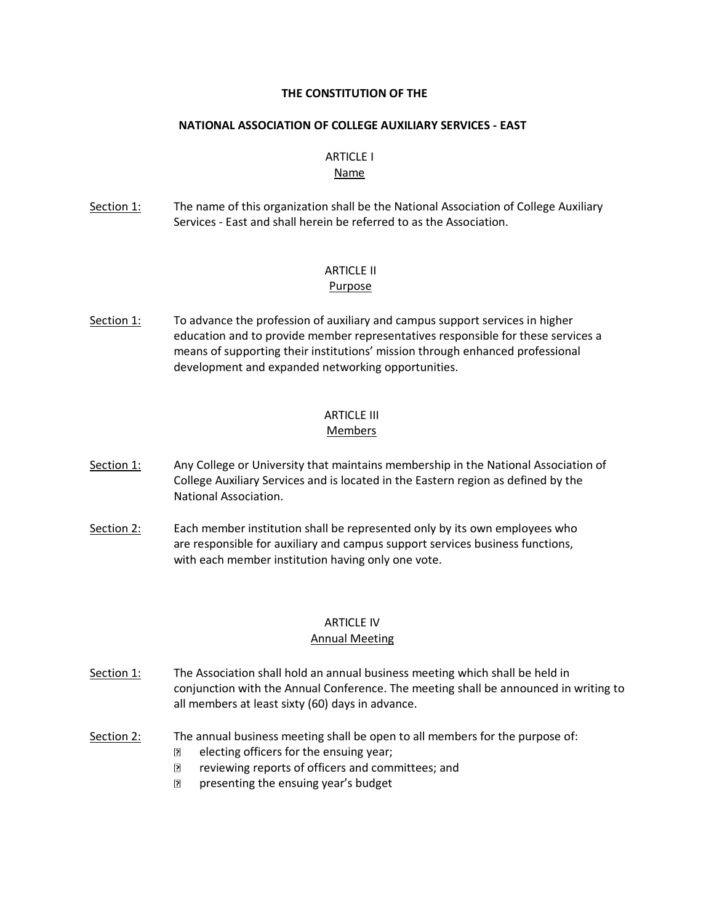#### **THE CONSTITUTION OF THE**

#### **NATIONAL ASSOCIATION OF COLLEGE AUXILIARY SERVICES - EAST**

## ARTICLE I

#### Name

Section 1: The name of this organization shall be the National Association of College Auxiliary Services - East and shall herein be referred to as the Association.

## ARTICLE II

## Purpose

Section 1: To advance the profession of auxiliary and campus support services in higher education and to provide member representatives responsible for these services a means of supporting their institutions' mission through enhanced professional development and expanded networking opportunities.

## ARTICLE III

## Members

- Section 1: Any College or University that maintains membership in the National Association of College Auxiliary Services and is located in the Eastern region as defined by the National Association.
- Section 2: Each member institution shall be represented only by its own employees who are responsible for auxiliary and campus support services business functions, with each member institution having only one vote.

# ARTICLE IV

## Annual Meeting

- Section 1: The Association shall hold an annual business meeting which shall be held in conjunction with the Annual Conference. The meeting shall be announced in writing to all members at least sixty (60) days in advance.
- Section 2: The annual business meeting shall be open to all members for the purpose of:
	- $\overline{2}$ electing officers for the ensuing year;
	- $\overline{?}$ reviewing reports of officers and committees; and
	- $\overline{2}$ presenting the ensuing year's budget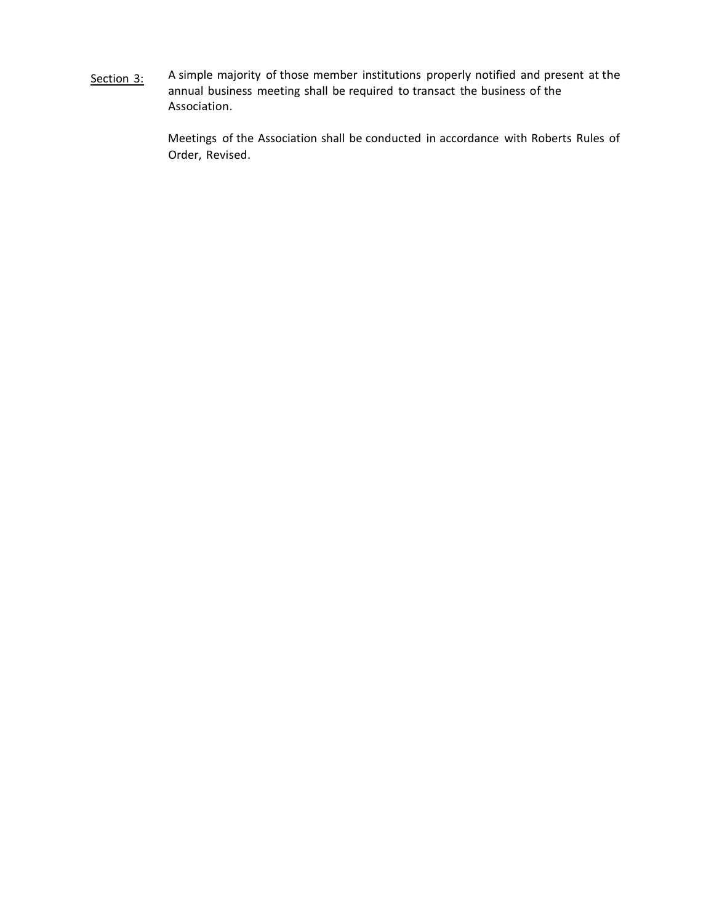Section 3: A simple majority of those member institutions properly notified and present at the annual business meeting shall be required to transact the business of the Association.

> Meetings of the Association shall be conducted in accordance with Roberts Rules of Order, Revised.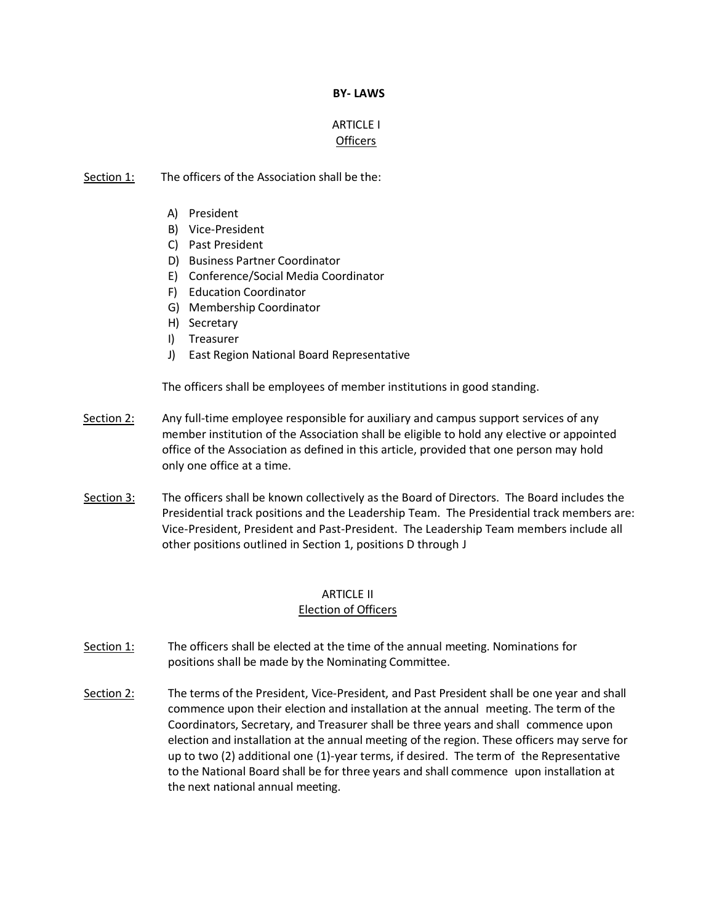#### **BY- LAWS**

## ARTICLE I **Officers**

### Section 1: The officers of the Association shall be the:

- A) President
- B) Vice-President
- C) Past President
- D) Business Partner Coordinator
- E) Conference/Social Media Coordinator
- F) Education Coordinator
- G) Membership Coordinator
- H) Secretary
- I) Treasurer
- J) East Region National Board Representative

The officers shall be employees of member institutions in good standing.

- Section 2: Any full-time employee responsible for auxiliary and campus support services of any member institution of the Association shall be eligible to hold any elective or appointed office of the Association as defined in this article, provided that one person may hold only one office at a time.
- Section 3: The officers shall be known collectively as the Board of Directors. The Board includes the Presidential track positions and the Leadership Team. The Presidential track members are: Vice-President, President and Past-President. The Leadership Team members include all other positions outlined in Section 1, positions D through J

## ARTICLE II Election of Officers

- Section 1: The officers shall be elected at the time of the annual meeting. Nominations for positions shall be made by the Nominating Committee.
- Section 2: The terms of the President, Vice-President, and Past President shall be one year and shall commence upon their election and installation at the annual meeting. The term of the Coordinators, Secretary, and Treasurer shall be three years and shall commence upon election and installation at the annual meeting of the region. These officers may serve for up to two (2) additional one (1)-year terms, if desired. The term of the Representative to the National Board shall be for three years and shall commence upon installation at the next national annual meeting.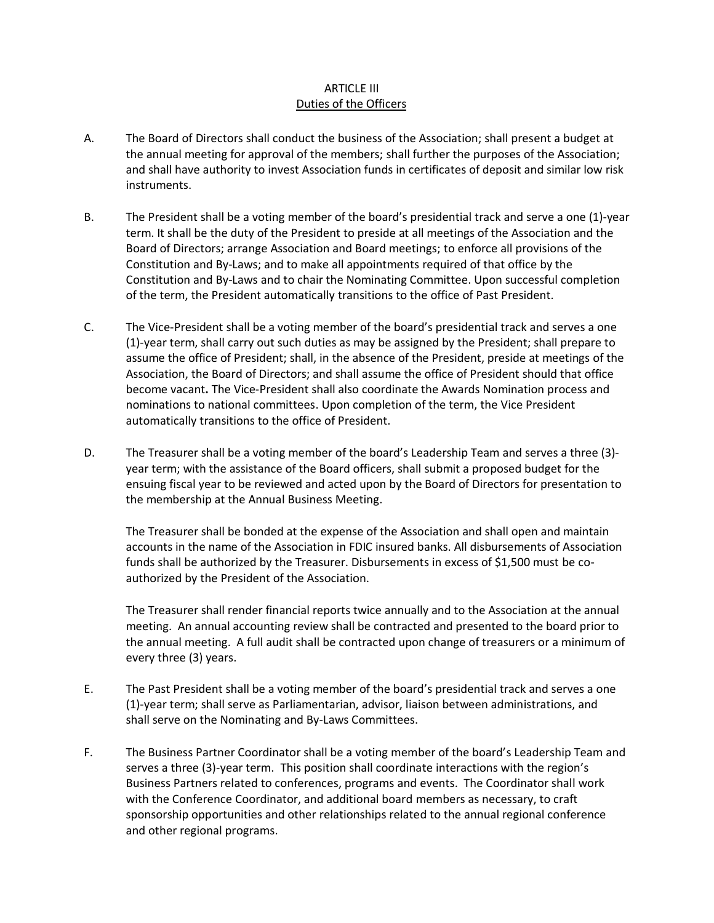## ARTICLE III Duties of the Officers

- A. The Board of Directors shall conduct the business of the Association; shall present a budget at the annual meeting for approval of the members; shall further the purposes of the Association; and shall have authority to invest Association funds in certificates of deposit and similar low risk instruments.
- B. The President shall be a voting member of the board's presidential track and serve a one (1)-year term. It shall be the duty of the President to preside at all meetings of the Association and the Board of Directors; arrange Association and Board meetings; to enforce all provisions of the Constitution and By-Laws; and to make all appointments required of that office by the Constitution and By-Laws and to chair the Nominating Committee. Upon successful completion of the term, the President automatically transitions to the office of Past President.
- C. The Vice-President shall be a voting member of the board's presidential track and serves a one (1)-year term, shall carry out such duties as may be assigned by the President; shall prepare to assume the office of President; shall, in the absence of the President, preside at meetings of the Association, the Board of Directors; and shall assume the office of President should that office become vacant**.** The Vice-President shall also coordinate the Awards Nomination process and nominations to national committees. Upon completion of the term, the Vice President automatically transitions to the office of President.
- D. The Treasurer shall be a voting member of the board's Leadership Team and serves a three (3) year term; with the assistance of the Board officers, shall submit a proposed budget for the ensuing fiscal year to be reviewed and acted upon by the Board of Directors for presentation to the membership at the Annual Business Meeting.

The Treasurer shall be bonded at the expense of the Association and shall open and maintain accounts in the name of the Association in FDIC insured banks. All disbursements of Association funds shall be authorized by the Treasurer. Disbursements in excess of \$1,500 must be coauthorized by the President of the Association.

The Treasurer shall render financial reports twice annually and to the Association at the annual meeting. An annual accounting review shall be contracted and presented to the board prior to the annual meeting. A full audit shall be contracted upon change of treasurers or a minimum of every three (3) years.

- E. The Past President shall be a voting member of the board's presidential track and serves a one (1)-year term; shall serve as Parliamentarian, advisor, liaison between administrations, and shall serve on the Nominating and By-Laws Committees.
- F. The Business Partner Coordinator shall be a voting member of the board's Leadership Team and serves a three (3)-year term. This position shall coordinate interactions with the region's Business Partners related to conferences, programs and events. The Coordinator shall work with the Conference Coordinator, and additional board members as necessary, to craft sponsorship opportunities and other relationships related to the annual regional conference and other regional programs.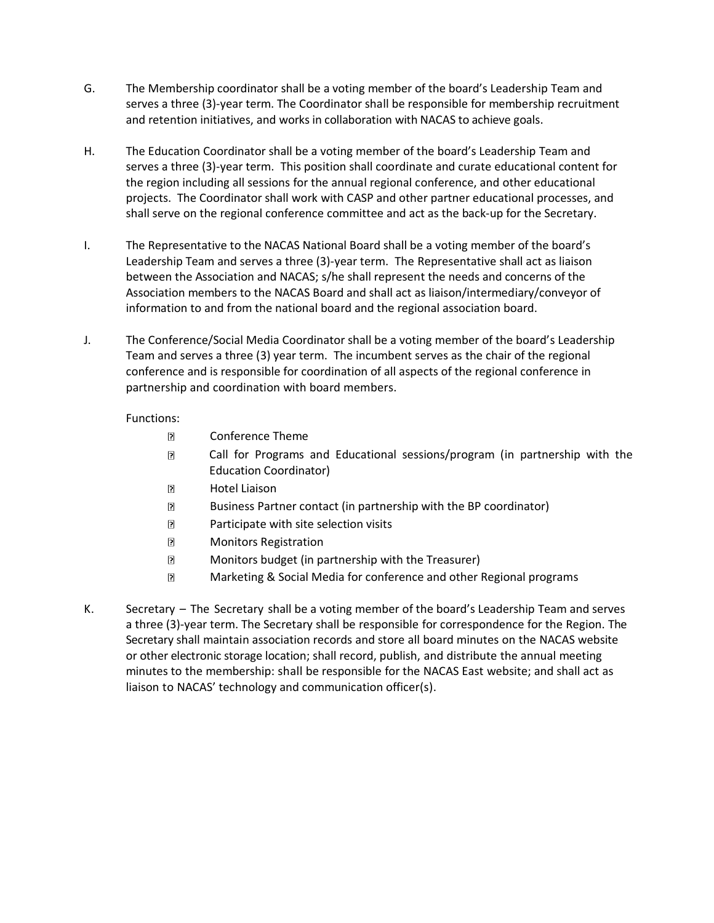- G. The Membership coordinator shall be a voting member of the board's Leadership Team and serves a three (3)-year term. The Coordinator shall be responsible for membership recruitment and retention initiatives, and works in collaboration with NACAS to achieve goals.
- H. The Education Coordinator shall be a voting member of the board's Leadership Team and serves a three (3)-year term. This position shall coordinate and curate educational content for the region including all sessions for the annual regional conference, and other educational projects. The Coordinator shall work with CASP and other partner educational processes, and shall serve on the regional conference committee and act as the back-up for the Secretary.
- I. The Representative to the NACAS National Board shall be a voting member of the board's Leadership Team and serves a three (3)-year term. The Representative shall act as liaison between the Association and NACAS; s/he shall represent the needs and concerns of the Association members to the NACAS Board and shall act as liaison/intermediary/conveyor of information to and from the national board and the regional association board.
- J. The Conference/Social Media Coordinator shall be a voting member of the board's Leadership Team and serves a three (3) year term. The incumbent serves as the chair of the regional conference and is responsible for coordination of all aspects of the regional conference in partnership and coordination with board members.

## Functions:

- $\overline{2}$ Conference Theme
- $\overline{P}$ Call for Programs and Educational sessions/program (in partnership with the Education Coordinator)
- $\overline{2}$ Hotel Liaison
- $\overline{2}$ Business Partner contact (in partnership with the BP coordinator)
- $\overline{?}$ Participate with site selection visits
- $\overline{2}$ Monitors Registration
- $\overline{2}$ Monitors budget (in partnership with the Treasurer)
- $\overline{?}$ Marketing & Social Media for conference and other Regional programs
- K. Secretary The Secretary shall be a voting member of the board's Leadership Team and serves a three (3)-year term. The Secretary shall be responsible for correspondence for the Region. The Secretary shall maintain association records and store all board minutes on the NACAS website or other electronic storage location; shall record, publish, and distribute the annual meeting minutes to the membership: shall be responsible for the NACAS East website; and shall act as liaison to NACAS' technology and communication officer(s).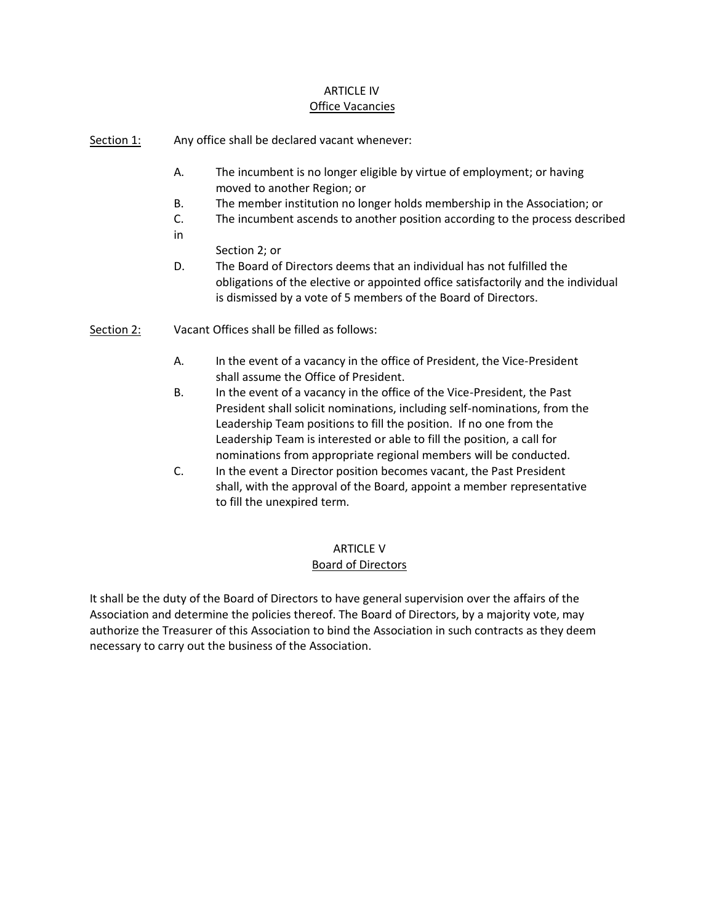## ARTICLE IV Office Vacancies

Section 1: Any office shall be declared vacant whenever:

- A. The incumbent is no longer eligible by virtue of employment; or having moved to another Region; or
- B. The member institution no longer holds membership in the Association; or
- C. The incumbent ascends to another position according to the process described
- in
	- Section 2; or
- D. The Board of Directors deems that an individual has not fulfilled the obligations of the elective or appointed office satisfactorily and the individual is dismissed by a vote of 5 members of the Board of Directors.

Section 2: Vacant Offices shall be filled as follows:

- A. In the event of a vacancy in the office of President, the Vice-President shall assume the Office of President.
- B. In the event of a vacancy in the office of the Vice-President, the Past President shall solicit nominations, including self-nominations, from the Leadership Team positions to fill the position. If no one from the Leadership Team is interested or able to fill the position, a call for nominations from appropriate regional members will be conducted.
- C. In the event a Director position becomes vacant, the Past President shall, with the approval of the Board, appoint a member representative to fill the unexpired term.

## ARTICLE V

## Board of Directors

It shall be the duty of the Board of Directors to have general supervision over the affairs of the Association and determine the policies thereof. The Board of Directors, by a majority vote, may authorize the Treasurer of this Association to bind the Association in such contracts as they deem necessary to carry out the business of the Association.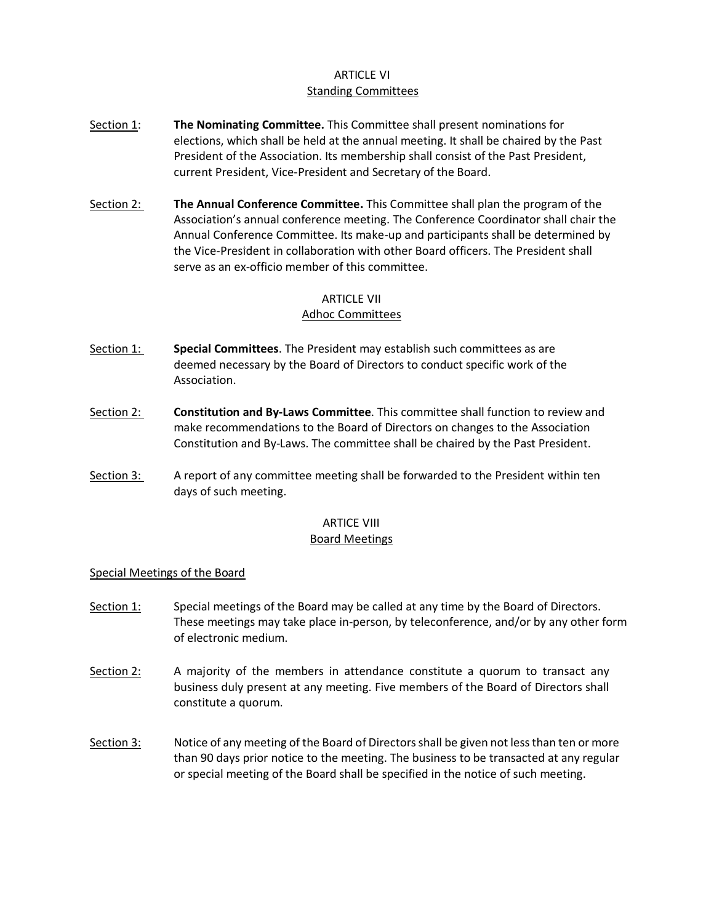## ARTICLE VI Standing Committees

- Section 1: **The Nominating Committee.** This Committee shall present nominations for elections, which shall be held at the annual meeting. It shall be chaired by the Past President of the Association. Its membership shall consist of the Past President, current President, Vice-President and Secretary of the Board.
- Section 2: **The Annual Conference Committee.** This Committee shall plan the program of the Association's annual conference meeting. The Conference Coordinator shall chair the Annual Conference Committee. Its make-up and participants shall be determined by the Vice-President in collaboration with other Board officers. The President shall serve as an ex-officio member of this committee.

#### ARTICLE VII

#### Adhoc Committees

- Section 1: **Special Committees**. The President may establish such committees as are deemed necessary by the Board of Directors to conduct specific work of the Association.
- Section 2: **Constitution and By-Laws Committee**. This committee shall function to review and make recommendations to the Board of Directors on changes to the Association Constitution and By-Laws. The committee shall be chaired by the Past President.
- Section 3: A report of any committee meeting shall be forwarded to the President within ten days of such meeting.

# ARTICE VIII

#### Board Meetings

## Special Meetings of the Board

- Section 1: Special meetings of the Board may be called at any time by the Board of Directors. These meetings may take place in-person, by teleconference, and/or by any other form of electronic medium.
- Section  $2$ : A majority of the members in attendance constitute a quorum to transact any business duly present at any meeting. Five members of the Board of Directors shall constitute a quorum.
- Section 3: Notice of any meeting of the Board of Directors shall be given not lessthan ten or more than 90 days prior notice to the meeting. The business to be transacted at any regular or special meeting of the Board shall be specified in the notice of such meeting.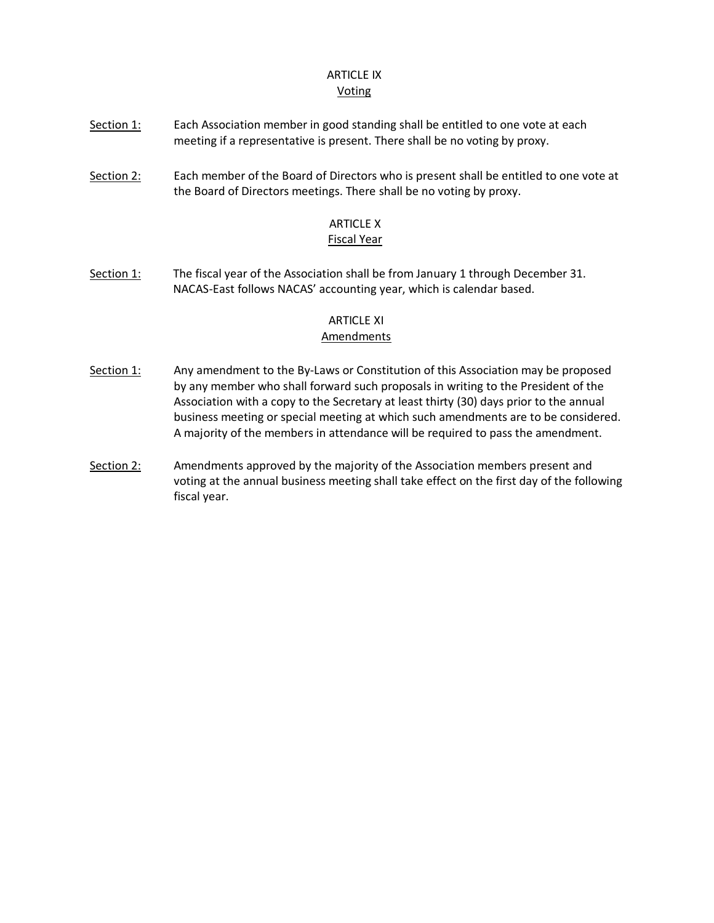#### ARTICLE IX Voting

- Section 1: Each Association member in good standing shall be entitled to one vote at each meeting if a representative is present. There shall be no voting by proxy.
- Section 2: Each member of the Board of Directors who is present shall be entitled to one vote at the Board of Directors meetings. There shall be no voting by proxy.

# ARTICLE X

## Fiscal Year

Section 1: The fiscal year of the Association shall be from January 1 through December 31. NACAS-East follows NACAS' accounting year, which is calendar based.

# ARTICLE XI

# Amendments

- Section 1: Any amendment to the By-Laws or Constitution of this Association may be proposed by any member who shall forward such proposals in writing to the President of the Association with a copy to the Secretary at least thirty (30) days prior to the annual business meeting or special meeting at which such amendments are to be considered. A majority of the members in attendance will be required to pass the amendment.
- Section 2: Amendments approved by the majority of the Association members present and voting at the annual business meeting shall take effect on the first day of the following fiscal year.